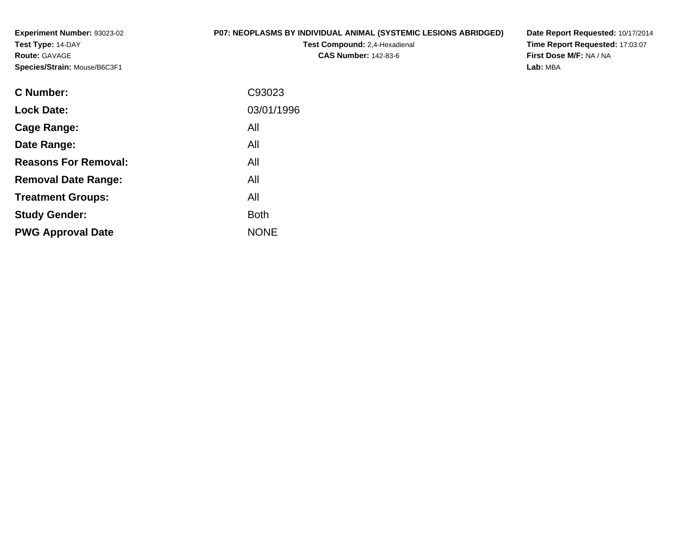**Experiment Number:** 93023-02**Test Type:** 14-DAY**Route:** GAVAGE**Species/Strain:** Mouse/B6C3F1

# **P07: NEOPLASMS BY INDIVIDUAL ANIMAL (SYSTEMIC LESIONS ABRIDGED)**

**Test Compound:** 2,4-Hexadienal **CAS Number:** 142-83-6

**Date Report Requested:** 10/17/2014 **Time Report Requested:** 17:03:07**First Dose M/F:** NA / NA**Lab:** MBA

| <b>C</b> Number:            | C93023      |
|-----------------------------|-------------|
| <b>Lock Date:</b>           | 03/01/1996  |
| Cage Range:                 | All         |
| Date Range:                 | All         |
| <b>Reasons For Removal:</b> | All         |
| <b>Removal Date Range:</b>  | All         |
| <b>Treatment Groups:</b>    | All         |
| <b>Study Gender:</b>        | <b>Both</b> |
| <b>PWG Approval Date</b>    | <b>NONE</b> |
|                             |             |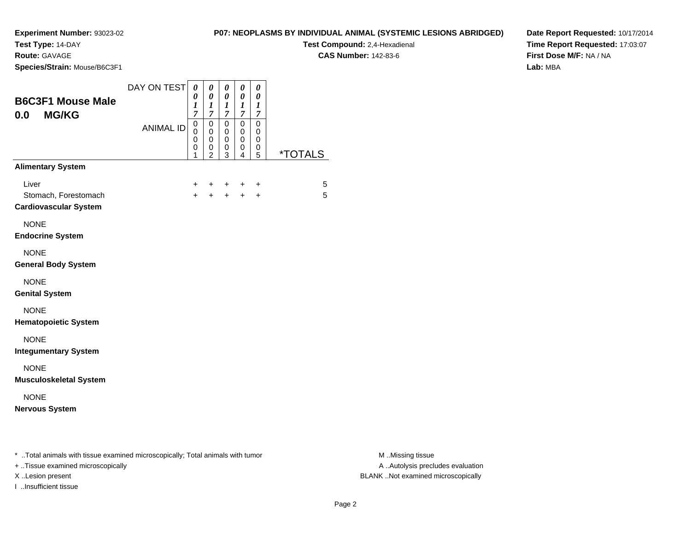**Test Type:** 14-DAY

**Route:** GAVAGE

**Species/Strain:** Mouse/B6C3F1

**Test Compound:** 2,4-Hexadienal **CAS Number:** 142-83-6

**Date Report Requested:** 10/17/2014**Time Report Requested:** 17:03:07**First Dose M/F:** NA / NA**Lab:** MBA

| <b>B6C3F1 Mouse Male</b><br>0.0<br><b>MG/KG</b>                                                                     | DAY ON TEST      | 0<br>0<br>1<br>7                | 0<br>$\boldsymbol{\theta}$<br>$\boldsymbol{l}$<br>$\overline{7}$ | 0<br>$\boldsymbol{\theta}$<br>1<br>7 | 0<br>0<br>$\boldsymbol{l}$<br>$\overline{7}$ | 0<br>0<br>1<br>7                |                       |
|---------------------------------------------------------------------------------------------------------------------|------------------|---------------------------------|------------------------------------------------------------------|--------------------------------------|----------------------------------------------|---------------------------------|-----------------------|
|                                                                                                                     | <b>ANIMAL ID</b> | $\mathbf 0$<br>0<br>0<br>0<br>1 | $\mathbf 0$<br>$\mathbf 0$<br>0<br>0<br>$\overline{2}$           | $\mathbf 0$<br>0<br>0<br>0<br>3      | 0<br>0<br>0<br>0<br>4                        | $\mathbf 0$<br>0<br>0<br>0<br>5 | <i><b>*TOTALS</b></i> |
| <b>Alimentary System</b>                                                                                            |                  |                                 |                                                                  |                                      |                                              |                                 |                       |
| Liver<br>Stomach, Forestomach<br><b>Cardiovascular System</b>                                                       |                  | +<br>$+$                        | +<br>$+$                                                         | +<br>$+$                             | +<br>$+$                                     | $\ddot{}$<br>$\ddot{}$          | 5<br>5                |
| <b>NONE</b><br><b>Endocrine System</b>                                                                              |                  |                                 |                                                                  |                                      |                                              |                                 |                       |
| <b>NONE</b><br><b>General Body System</b>                                                                           |                  |                                 |                                                                  |                                      |                                              |                                 |                       |
| <b>NONE</b><br><b>Genital System</b>                                                                                |                  |                                 |                                                                  |                                      |                                              |                                 |                       |
| <b>NONE</b><br><b>Hematopoietic System</b>                                                                          |                  |                                 |                                                                  |                                      |                                              |                                 |                       |
| <b>NONE</b><br><b>Integumentary System</b>                                                                          |                  |                                 |                                                                  |                                      |                                              |                                 |                       |
| <b>NONE</b><br><b>Musculoskeletal System</b>                                                                        |                  |                                 |                                                                  |                                      |                                              |                                 |                       |
| <b>NONE</b><br><b>Nervous System</b>                                                                                |                  |                                 |                                                                  |                                      |                                              |                                 |                       |
| * Total animals with tissue examined microscopically; Total animals with tumor<br>+ Tissue examined microscopically |                  |                                 |                                                                  |                                      |                                              |                                 |                       |

I ..Insufficient tissue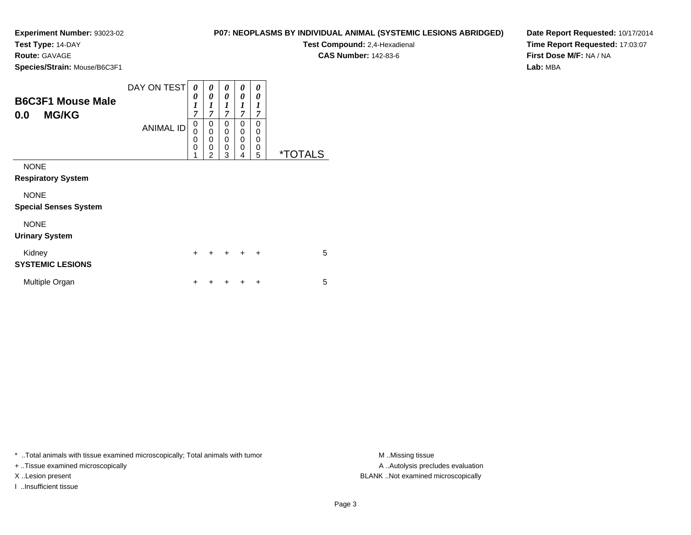**Test Type:** 14-DAY

**Route:** GAVAGE

**Species/Strain:** Mouse/B6C3F1

**Test Compound:** 2,4-Hexadienal

**CAS Number:** 142-83-6

**Date Report Requested:** 10/17/2014**Time Report Requested:** 17:03:07**First Dose M/F:** NA / NA**Lab:** MBA

| <b>B6C3F1 Mouse Male</b><br><b>MG/KG</b><br>0.0 | DAY ON TEST<br><b>ANIMAL ID</b> | 0<br>0<br>$\boldsymbol{l}$<br>$\overline{7}$<br>0<br>0<br>0<br>0<br>1 | 0<br>0<br>1<br>$\overline{7}$<br>0<br>$\mathbf 0$<br>0<br>0<br>$\overline{2}$ | 0<br>0<br>1<br>$\overline{\tau}$<br>0<br>0<br>$\mathbf 0$<br>0<br>3 | 0<br>0<br>$\boldsymbol{l}$<br>$\overline{7}$<br>0<br>0<br>0<br>0<br>4 | 0<br>0<br>1<br>7<br>0<br>0<br>0<br>0<br>5 | <i><b>*TOTALS</b></i> |
|-------------------------------------------------|---------------------------------|-----------------------------------------------------------------------|-------------------------------------------------------------------------------|---------------------------------------------------------------------|-----------------------------------------------------------------------|-------------------------------------------|-----------------------|
| <b>NONE</b><br><b>Respiratory System</b>        |                                 |                                                                       |                                                                               |                                                                     |                                                                       |                                           |                       |
| <b>NONE</b><br><b>Special Senses System</b>     |                                 |                                                                       |                                                                               |                                                                     |                                                                       |                                           |                       |
| <b>NONE</b><br><b>Urinary System</b>            |                                 |                                                                       |                                                                               |                                                                     |                                                                       |                                           |                       |
| Kidney<br><b>SYSTEMIC LESIONS</b>               |                                 | $\ddot{}$                                                             | +                                                                             | $\div$                                                              | $\ddot{}$                                                             | $\ddot{}$                                 | 5                     |
| Multiple Organ                                  |                                 | ٠                                                                     | ٠                                                                             |                                                                     |                                                                       | ÷                                         | 5                     |

\* ..Total animals with tissue examined microscopically; Total animals with tumor **M** ..Missing tissue M ..Missing tissue

+ ..Tissue examined microscopically

I ..Insufficient tissue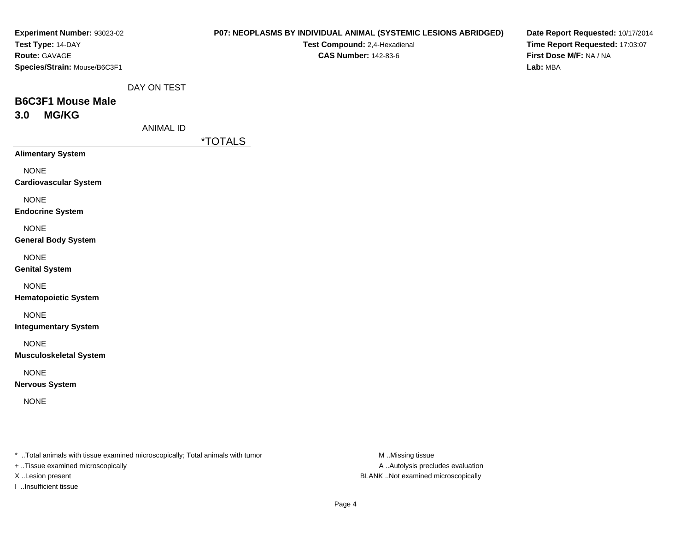| <b>Experiment Number: 93023-02</b><br>Test Type: 14-DAY<br>Route: GAVAGE<br>Species/Strain: Mouse/B6C3F1 |                  | <b>P07: NEOPLASMS BY INDIVIDUAL ANIMAL (SYSTEMIC LESIONS ABRIDGED)</b><br>Test Compound: 2,4-Hexadienal<br><b>CAS Number: 142-83-6</b> | Date Report Requested: 10/17/2014<br>Time Report Requested: 17:03:07<br>First Dose M/F: NA / NA<br>Lab: MBA |
|----------------------------------------------------------------------------------------------------------|------------------|----------------------------------------------------------------------------------------------------------------------------------------|-------------------------------------------------------------------------------------------------------------|
| <b>B6C3F1 Mouse Male</b>                                                                                 | DAY ON TEST      |                                                                                                                                        |                                                                                                             |
| <b>MG/KG</b><br>3.0                                                                                      | <b>ANIMAL ID</b> |                                                                                                                                        |                                                                                                             |
| <b>Alimentary System</b>                                                                                 |                  | <i><b>*TOTALS</b></i>                                                                                                                  |                                                                                                             |
| <b>NONE</b><br><b>Cardiovascular System</b>                                                              |                  |                                                                                                                                        |                                                                                                             |
| <b>NONE</b><br><b>Endocrine System</b>                                                                   |                  |                                                                                                                                        |                                                                                                             |
| <b>NONE</b><br><b>General Body System</b>                                                                |                  |                                                                                                                                        |                                                                                                             |
| <b>NONE</b><br><b>Genital System</b>                                                                     |                  |                                                                                                                                        |                                                                                                             |
| <b>NONE</b><br><b>Hematopoietic System</b>                                                               |                  |                                                                                                                                        |                                                                                                             |
| <b>NONE</b><br><b>Integumentary System</b>                                                               |                  |                                                                                                                                        |                                                                                                             |
| <b>NONE</b><br><b>Musculoskeletal System</b>                                                             |                  |                                                                                                                                        |                                                                                                             |
| <b>NONE</b><br><b>Nervous System</b>                                                                     |                  |                                                                                                                                        |                                                                                                             |
| <b>NONE</b>                                                                                              |                  |                                                                                                                                        |                                                                                                             |
|                                                                                                          |                  |                                                                                                                                        |                                                                                                             |
|                                                                                                          |                  |                                                                                                                                        |                                                                                                             |

\* ..Total animals with tissue examined microscopically; Total animals with tumor M..Missing tissue M

+ ..Tissue examined microscopically

I ..Insufficient tissue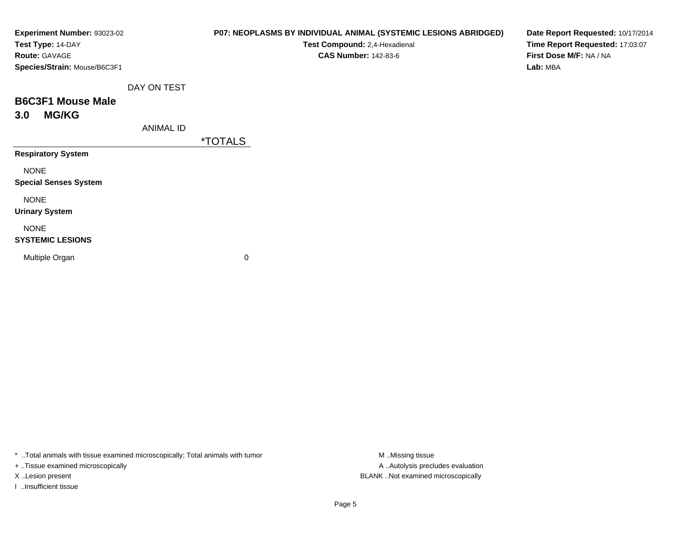| Experiment Number: 93023-02  |                  | P07: NEOPLASMS BY INDIVIDUAL ANIMAL (SYSTEMIC LESIONS ABRIDGED) | Date Report Requested: 10/17/2014 |
|------------------------------|------------------|-----------------------------------------------------------------|-----------------------------------|
| Test Type: 14-DAY            |                  | Test Compound: 2,4-Hexadienal                                   | Time Report Requested: 17:03:07   |
| Route: GAVAGE                |                  | <b>CAS Number: 142-83-6</b>                                     | First Dose M/F: NA / NA           |
| Species/Strain: Mouse/B6C3F1 |                  |                                                                 | Lab: MBA                          |
|                              | DAY ON TEST      |                                                                 |                                   |
| <b>B6C3F1 Mouse Male</b>     |                  |                                                                 |                                   |
| <b>MG/KG</b><br>3.0          |                  |                                                                 |                                   |
|                              | <b>ANIMAL ID</b> |                                                                 |                                   |
|                              |                  | <i><b>*TOTALS</b></i>                                           |                                   |
| <b>Respiratory System</b>    |                  |                                                                 |                                   |
| <b>NONE</b>                  |                  |                                                                 |                                   |
| <b>Special Senses System</b> |                  |                                                                 |                                   |
| <b>NONE</b>                  |                  |                                                                 |                                   |
| <b>Urinary System</b>        |                  |                                                                 |                                   |
| <b>NONE</b>                  |                  |                                                                 |                                   |
| <b>SYSTEMIC LESIONS</b>      |                  |                                                                 |                                   |
| Multiple Organ               |                  | 0                                                               |                                   |
|                              |                  |                                                                 |                                   |
|                              |                  |                                                                 |                                   |

\* ..Total animals with tissue examined microscopically; Total animals with tumor M..Missing tissue M ..Missing tissue

+ ..Tissue examined microscopically

I ..Insufficient tissue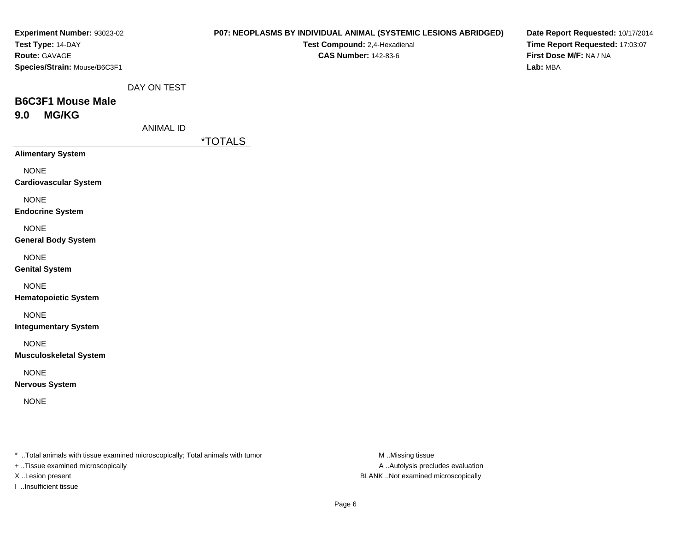| Experiment Number: 93023-02<br>Test Type: 14-DAY |                  | <b>P07: NEOPLASMS BY INDIVIDUAL ANIMAL (SYSTEMIC LESIONS ABRIDGED)</b><br>Test Compound: 2,4-Hexadienal | Date Report Requested: 10/17/2014<br>Time Report Requested: 17:03:07 |
|--------------------------------------------------|------------------|---------------------------------------------------------------------------------------------------------|----------------------------------------------------------------------|
| Route: GAVAGE                                    |                  | <b>CAS Number: 142-83-6</b>                                                                             | First Dose M/F: NA / NA                                              |
| Species/Strain: Mouse/B6C3F1                     |                  |                                                                                                         | Lab: MBA                                                             |
|                                                  | DAY ON TEST      |                                                                                                         |                                                                      |
| <b>B6C3F1 Mouse Male</b>                         |                  |                                                                                                         |                                                                      |
| <b>MG/KG</b><br>9.0                              | <b>ANIMAL ID</b> |                                                                                                         |                                                                      |
|                                                  |                  | <i><b>*TOTALS</b></i>                                                                                   |                                                                      |
| <b>Alimentary System</b>                         |                  |                                                                                                         |                                                                      |
| <b>NONE</b><br><b>Cardiovascular System</b>      |                  |                                                                                                         |                                                                      |
| <b>NONE</b><br><b>Endocrine System</b>           |                  |                                                                                                         |                                                                      |
| <b>NONE</b><br><b>General Body System</b>        |                  |                                                                                                         |                                                                      |
| <b>NONE</b><br><b>Genital System</b>             |                  |                                                                                                         |                                                                      |
| <b>NONE</b><br><b>Hematopoietic System</b>       |                  |                                                                                                         |                                                                      |
| <b>NONE</b><br><b>Integumentary System</b>       |                  |                                                                                                         |                                                                      |
| <b>NONE</b><br><b>Musculoskeletal System</b>     |                  |                                                                                                         |                                                                      |
| <b>NONE</b><br><b>Nervous System</b>             |                  |                                                                                                         |                                                                      |
| <b>NONE</b>                                      |                  |                                                                                                         |                                                                      |
|                                                  |                  |                                                                                                         |                                                                      |
|                                                  |                  |                                                                                                         |                                                                      |
|                                                  |                  |                                                                                                         |                                                                      |

\* ..Total animals with tissue examined microscopically; Total animals with tumor M..Missing tissue M ..Missing tissue

+ ..Tissue examined microscopically

I ..Insufficient tissue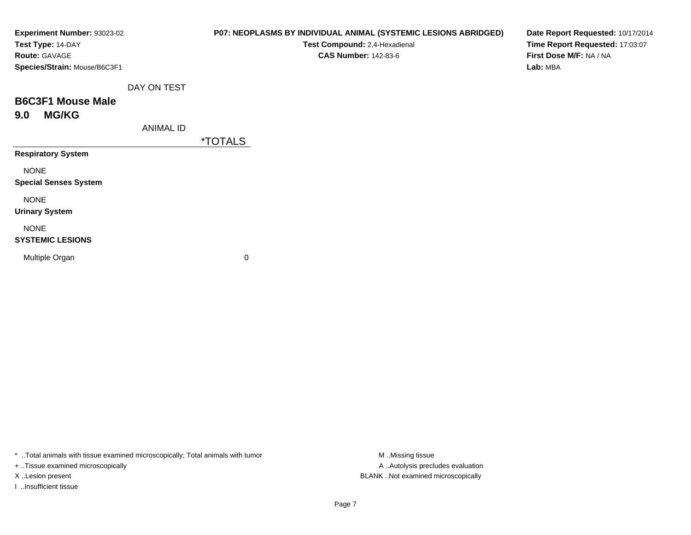| Experiment Number: 93023-02  |                  | P07: NEOPLASMS BY INDIVIDUAL ANIMAL (SYSTEMIC LESIONS ABRIDGED) | Date Report Requested: 10/17/2014 |
|------------------------------|------------------|-----------------------------------------------------------------|-----------------------------------|
| Test Type: 14-DAY            |                  | Test Compound: 2,4-Hexadienal                                   | Time Report Requested: 17:03:07   |
| Route: GAVAGE                |                  | <b>CAS Number: 142-83-6</b>                                     | First Dose M/F: NA / NA           |
| Species/Strain: Mouse/B6C3F1 |                  |                                                                 | Lab: MBA                          |
|                              | DAY ON TEST      |                                                                 |                                   |
| <b>B6C3F1 Mouse Male</b>     |                  |                                                                 |                                   |
| <b>MG/KG</b><br>9.0          |                  |                                                                 |                                   |
|                              | <b>ANIMAL ID</b> |                                                                 |                                   |
|                              |                  | <i><b>*TOTALS</b></i>                                           |                                   |
| <b>Respiratory System</b>    |                  |                                                                 |                                   |
| <b>NONE</b>                  |                  |                                                                 |                                   |
| <b>Special Senses System</b> |                  |                                                                 |                                   |
| <b>NONE</b>                  |                  |                                                                 |                                   |
| <b>Urinary System</b>        |                  |                                                                 |                                   |
| <b>NONE</b>                  |                  |                                                                 |                                   |
| <b>SYSTEMIC LESIONS</b>      |                  |                                                                 |                                   |
| Multiple Organ               |                  | 0                                                               |                                   |
|                              |                  |                                                                 |                                   |
|                              |                  |                                                                 |                                   |

\* ..Total animals with tissue examined microscopically; Total animals with tumor M..Missing tissue M ..Missing tissue

+ ..Tissue examined microscopically

I ..Insufficient tissue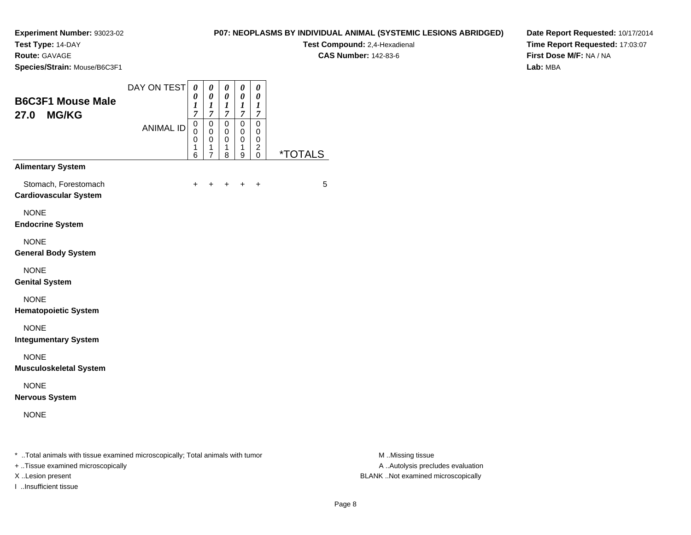# **Test Type:** 14-DAY

**Route:** GAVAGE

**Species/Strain:** Mouse/B6C3F1

# **P07: NEOPLASMS BY INDIVIDUAL ANIMAL (SYSTEMIC LESIONS ABRIDGED)**

**Test Compound:** 2,4-Hexadienal

**CAS Number:** 142-83-6

**Date Report Requested:** 10/17/2014**Time Report Requested:** 17:03:07**First Dose M/F:** NA / NA**Lab:** MBA

| <b>B6C3F1 Mouse Male</b><br><b>MG/KG</b><br>27.0     | DAY ON TEST      | 0<br>0<br>1<br>$\overline{7}$             | $\boldsymbol{\theta}$<br>$\boldsymbol{\theta}$<br>$\boldsymbol{l}$<br>$\overline{7}$ | $\pmb{\theta}$<br>0<br>1<br>$\mathcal{I}$ | 0<br>0<br>$\boldsymbol{l}$<br>7 | 0<br>0<br>1<br>7                            |                       |
|------------------------------------------------------|------------------|-------------------------------------------|--------------------------------------------------------------------------------------|-------------------------------------------|---------------------------------|---------------------------------------------|-----------------------|
|                                                      | <b>ANIMAL ID</b> | $\mathbf 0$<br>0<br>$\mathbf 0$<br>1<br>6 | $\pmb{0}$<br>0<br>$\mathbf 0$<br>$\mathbf 1$<br>$\overline{7}$                       | 0<br>0<br>$\mathbf 0$<br>1<br>8           | 0<br>0<br>$\mathbf 0$<br>1<br>9 | 0<br>0<br>0<br>$\overline{\mathbf{c}}$<br>0 | <i><b>*TOTALS</b></i> |
| <b>Alimentary System</b>                             |                  |                                           |                                                                                      |                                           |                                 |                                             |                       |
| Stomach, Forestomach<br><b>Cardiovascular System</b> |                  | +                                         | +                                                                                    | $\ddot{}$                                 | $\ddot{}$                       | +                                           | 5                     |
| <b>NONE</b><br><b>Endocrine System</b>               |                  |                                           |                                                                                      |                                           |                                 |                                             |                       |
| <b>NONE</b><br><b>General Body System</b>            |                  |                                           |                                                                                      |                                           |                                 |                                             |                       |
| <b>NONE</b><br><b>Genital System</b>                 |                  |                                           |                                                                                      |                                           |                                 |                                             |                       |
| <b>NONE</b><br><b>Hematopoietic System</b>           |                  |                                           |                                                                                      |                                           |                                 |                                             |                       |
| <b>NONE</b><br><b>Integumentary System</b>           |                  |                                           |                                                                                      |                                           |                                 |                                             |                       |
| <b>NONE</b><br><b>Musculoskeletal System</b>         |                  |                                           |                                                                                      |                                           |                                 |                                             |                       |
| <b>NONE</b><br><b>Nervous System</b>                 |                  |                                           |                                                                                      |                                           |                                 |                                             |                       |
| <b>NONE</b>                                          |                  |                                           |                                                                                      |                                           |                                 |                                             |                       |

..Total animals with tissue examined microscopically; Total animals with tumor M ..Missing tissue M ..Missing tissue

+ ..Tissue examined microscopically

I ..Insufficient tissue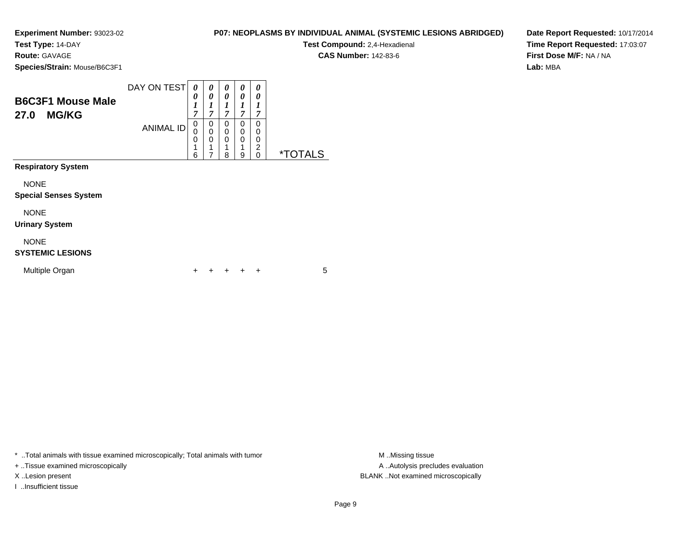**Test Type:** 14-DAY

**Route:** GAVAGE

NONE

**SYSTEMIC LESIONS**

Multiple Organ

**Species/Strain:** Mouse/B6C3F1

| <b>B6C3F1 Mouse Male</b><br>27.0<br><b>MG/KG</b>                     | DAY ON TEST      | 0<br>0<br>и<br>1<br>7 | 0<br>0<br>1<br>T<br>7 | 0<br>0<br>1<br>7                | 0<br>0<br>1<br>7      | 0<br>0<br>7           |                       |
|----------------------------------------------------------------------|------------------|-----------------------|-----------------------|---------------------------------|-----------------------|-----------------------|-----------------------|
|                                                                      | <b>ANIMAL ID</b> | 0<br>0<br>0<br>6      | 0<br>0<br>0<br>1      | 0<br>$\mathbf 0$<br>0<br>1<br>8 | 0<br>0<br>0<br>1<br>9 | 0<br>0<br>0<br>2<br>0 | <i><b>*TOTALS</b></i> |
| <b>Respiratory System</b><br><b>NONE</b>                             |                  |                       |                       |                                 |                       |                       |                       |
| <b>Special Senses System</b><br><b>NONE</b><br><b>Urinary System</b> |                  |                       |                       |                                 |                       |                       |                       |

<sup>+</sup> <sup>+</sup> <sup>+</sup> <sup>+</sup> <sup>5</sup>

\* ..Total animals with tissue examined microscopically; Total animals with tumor **M** . Missing tissue M ..Missing tissue

n  $+$ 

+ ..Tissue examined microscopically

I ..Insufficient tissue

**P07: NEOPLASMS BY INDIVIDUAL ANIMAL (SYSTEMIC LESIONS ABRIDGED)**

**Test Compound:** 2,4-Hexadienal

**CAS Number:** 142-83-6

**Date Report Requested:** 10/17/2014**Time Report Requested:** 17:03:07**First Dose M/F:** NA / NA**Lab:** MBA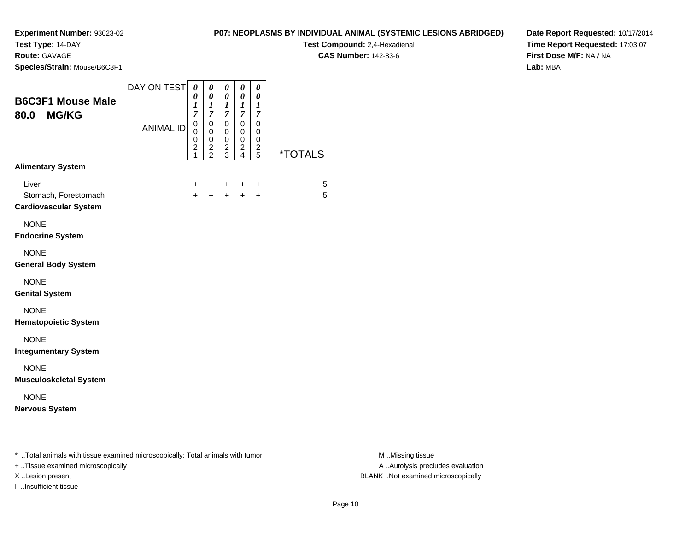**Test Type:** 14-DAY

**Route:** GAVAGE

**Species/Strain:** Mouse/B6C3F1

### **P07: NEOPLASMS BY INDIVIDUAL ANIMAL (SYSTEMIC LESIONS ABRIDGED)**

**Test Compound:** 2,4-Hexadienal

**CAS Number:** 142-83-6

**Date Report Requested:** 10/17/2014**Time Report Requested:** 17:03:07**First Dose M/F:** NA / NA**Lab:** MBA

|                  | 0<br>1<br>$\overline{7}$                                   | $\boldsymbol{\theta}$<br>0<br>1<br>$\overline{7}$ | $\boldsymbol{\theta}$<br>0<br>1<br>$\overline{\mathcal{I}}$ | 0<br>0<br>1<br>$\overline{\mathcal{I}}$ | 0<br>0<br>1<br>$\overline{7}$ |                              |
|------------------|------------------------------------------------------------|---------------------------------------------------|-------------------------------------------------------------|-----------------------------------------|-------------------------------|------------------------------|
| <b>ANIMAL ID</b> | $\mathsf 0$<br>$\mathbf 0$<br>0<br>$\overline{\mathbf{c}}$ | $\mathbf 0$<br>0<br>0                             | $\mathbf 0$<br>0<br>$\pmb{0}$                               | $\mathbf 0$<br>0<br>0<br>2              | 0<br>0<br>0                   | <i><b>*TOTALS</b></i>        |
|                  |                                                            |                                                   |                                                             |                                         |                               |                              |
|                  | $\ddot{}$<br>$+$                                           | ÷<br>$+$                                          | ÷                                                           | ÷                                       | $\ddot{}$                     | 5<br>5                       |
|                  |                                                            |                                                   |                                                             |                                         |                               |                              |
|                  |                                                            |                                                   |                                                             |                                         |                               |                              |
|                  |                                                            |                                                   |                                                             |                                         |                               |                              |
|                  |                                                            |                                                   |                                                             |                                         |                               |                              |
|                  |                                                            |                                                   |                                                             |                                         |                               |                              |
|                  |                                                            |                                                   |                                                             |                                         |                               |                              |
|                  |                                                            |                                                   |                                                             |                                         |                               |                              |
|                  |                                                            | 1                                                 | $\frac{2}{2}$                                               | $\frac{2}{3}$                           | 4                             | $\frac{2}{5}$<br>$+$ $+$ $+$ |

+ ..Tissue examined microscopically

I ..Insufficient tissue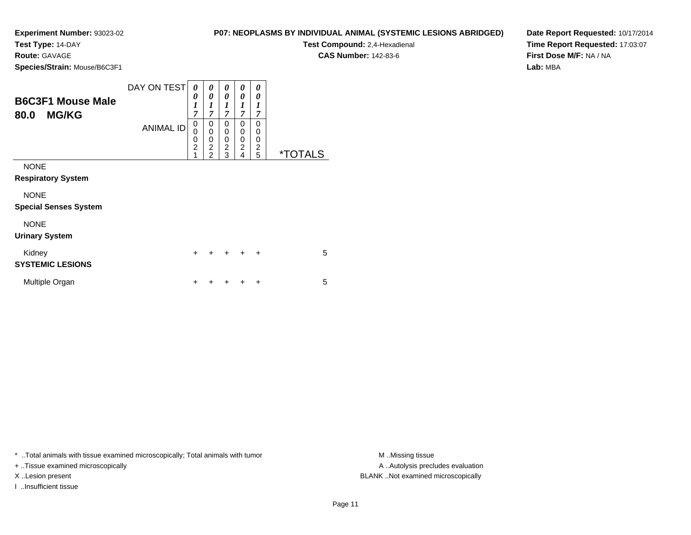**Test Type:** 14-DAY

**Route:** GAVAGE

**Species/Strain:** Mouse/B6C3F1

# **P07: NEOPLASMS BY INDIVIDUAL ANIMAL (SYSTEMIC LESIONS ABRIDGED)**

**Test Compound:** 2,4-Hexadienal

**CAS Number:** 142-83-6

**Date Report Requested:** 10/17/2014**Time Report Requested:** 17:03:07**First Dose M/F:** NA / NA**Lab:** MBA

| <b>B6C3F1 Mouse Male</b><br><b>MG/KG</b><br>80.0 | DAY ON TEST<br><b>ANIMAL ID</b> | 0<br>0<br>$\boldsymbol{l}$<br>$\overline{7}$<br>0<br>0<br>0<br>$\overline{2}$<br>1 | 0<br>0<br>$\boldsymbol{l}$<br>$\overline{7}$<br>0<br>0<br>0<br>$\overline{c}$<br>$\overline{2}$ | 0<br>0<br>$\boldsymbol{l}$<br>$\overline{7}$<br>$\Omega$<br>0<br>0<br>$\overline{2}$<br>3 | 0<br>0<br>$\boldsymbol{l}$<br>$\overline{7}$<br>$\Omega$<br>$\Omega$<br>$\mathbf 0$<br>$\overline{2}$ | 0<br>0<br>$\boldsymbol{l}$<br>7<br>0<br>0<br>0<br>$\overline{c}$<br>5 | <i><b>*TOTALS</b></i> |
|--------------------------------------------------|---------------------------------|------------------------------------------------------------------------------------|-------------------------------------------------------------------------------------------------|-------------------------------------------------------------------------------------------|-------------------------------------------------------------------------------------------------------|-----------------------------------------------------------------------|-----------------------|
| <b>NONE</b><br><b>Respiratory System</b>         |                                 |                                                                                    |                                                                                                 |                                                                                           | 4                                                                                                     |                                                                       |                       |
| <b>NONE</b><br><b>Special Senses System</b>      |                                 |                                                                                    |                                                                                                 |                                                                                           |                                                                                                       |                                                                       |                       |
| <b>NONE</b><br><b>Urinary System</b>             |                                 |                                                                                    |                                                                                                 |                                                                                           |                                                                                                       |                                                                       |                       |
| Kidney<br><b>SYSTEMIC LESIONS</b>                |                                 | $\ddot{}$                                                                          | +                                                                                               | ÷                                                                                         | $\div$                                                                                                | $\ddot{}$                                                             | 5                     |
| Multiple Organ                                   |                                 | ┿                                                                                  | ٠                                                                                               |                                                                                           |                                                                                                       | +                                                                     | 5                     |

\* ..Total animals with tissue examined microscopically; Total animals with tumor **M** . Missing tissue M ..Missing tissue

+ ..Tissue examined microscopically

I ..Insufficient tissue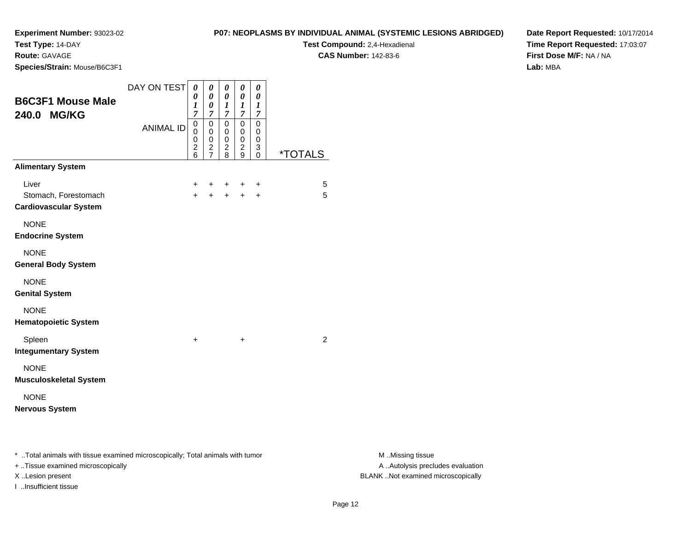**Test Type:** 14-DAY

**Route:** GAVAGE

**Species/Strain:** Mouse/B6C3F1

### **P07: NEOPLASMS BY INDIVIDUAL ANIMAL (SYSTEMIC LESIONS ABRIDGED)**

**Test Compound:** 2,4-Hexadienal

**CAS Number:** 142-83-6

**Date Report Requested:** 10/17/2014**Time Report Requested:** 17:03:07**First Dose M/F:** NA / NA**Lab:** MBA

| <b>B6C3F1 Mouse Male</b><br>240.0 MG/KG                                        | DAY ON TEST      | $\boldsymbol{\theta}$<br>0<br>1<br>$\overline{7}$          | 0<br>$\boldsymbol{\theta}$<br>0<br>7                   | 0<br>$\boldsymbol{\theta}$<br>1<br>7   | 0<br>$\boldsymbol{\theta}$<br>1<br>$\boldsymbol{7}$ | 0<br>0<br>1<br>$\overline{7}$ |                       |
|--------------------------------------------------------------------------------|------------------|------------------------------------------------------------|--------------------------------------------------------|----------------------------------------|-----------------------------------------------------|-------------------------------|-----------------------|
|                                                                                | <b>ANIMAL ID</b> | $\mathbf 0$<br>$\mathbf 0$<br>$\mathbf 0$<br>$\frac{2}{6}$ | $\mathbf 0$<br>$\pmb{0}$<br>$\pmb{0}$<br>$\frac{2}{7}$ | 0<br>0<br>$\mathbf 0$<br>$\frac{2}{8}$ | $\mathbf 0$<br>0<br>0<br>$\frac{2}{9}$              | 0<br>0<br>0<br>3<br>0         | <i><b>*TOTALS</b></i> |
| <b>Alimentary System</b>                                                       |                  |                                                            |                                                        |                                        |                                                     |                               |                       |
| Liver<br>Stomach, Forestomach<br><b>Cardiovascular System</b>                  |                  | +<br>$\ddot{}$                                             | +<br>$\ddot{}$                                         | +<br>$\ddot{}$                         | +<br>$+$                                            | +<br>$\ddot{}$                | 5<br>5                |
| <b>NONE</b><br><b>Endocrine System</b>                                         |                  |                                                            |                                                        |                                        |                                                     |                               |                       |
| <b>NONE</b><br><b>General Body System</b>                                      |                  |                                                            |                                                        |                                        |                                                     |                               |                       |
| <b>NONE</b><br><b>Genital System</b>                                           |                  |                                                            |                                                        |                                        |                                                     |                               |                       |
| <b>NONE</b><br><b>Hematopoietic System</b>                                     |                  |                                                            |                                                        |                                        |                                                     |                               |                       |
| Spleen<br><b>Integumentary System</b>                                          |                  | +                                                          |                                                        |                                        | +                                                   |                               | 2                     |
| <b>NONE</b><br><b>Musculoskeletal System</b>                                   |                  |                                                            |                                                        |                                        |                                                     |                               |                       |
| <b>NONE</b><br><b>Nervous System</b>                                           |                  |                                                            |                                                        |                                        |                                                     |                               |                       |
| * Total animals with tissue examined microscopically; Total animals with tumor |                  |                                                            |                                                        |                                        |                                                     |                               |                       |

+ ..Tissue examined microscopically

I ..Insufficient tissue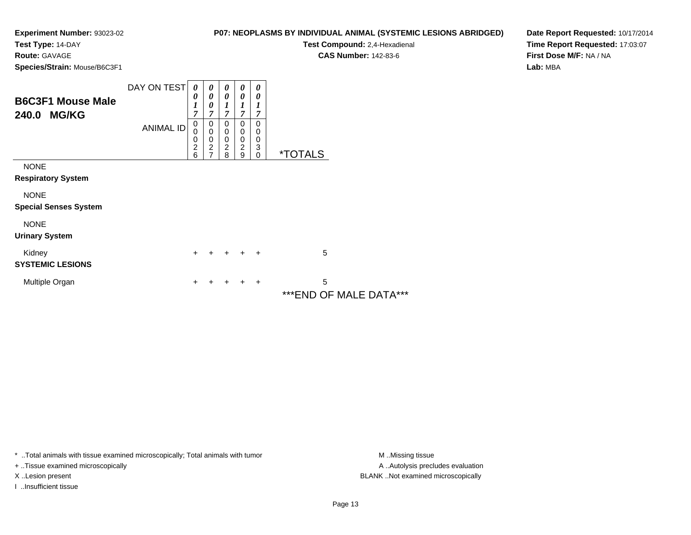**Test Type:** 14-DAY

**Route:** GAVAGE

**Species/Strain:** Mouse/B6C3F1

| P07: NEOPLASMS BY INDIVIDUAL ANIMAL (SYSTEMIC LESIONS ABRIDGED) |
|-----------------------------------------------------------------|
|-----------------------------------------------------------------|

**Test Compound:** 2,4-Hexadienal

**CAS Number:** 142-83-6

**Date Report Requested:** 10/17/2014**Time Report Requested:** 17:03:07**First Dose M/F:** NA / NA**Lab:** MBA

| <b>B6C3F1 Mouse Male</b><br><b>MG/KG</b><br>240.0 | DAY ON TEST<br><b>ANIMAL ID</b> | $\boldsymbol{\theta}$<br>0<br>1<br>7<br>0<br>$\mathbf 0$<br>$\mathbf 0$<br>$\overline{c}$<br>6 | 0<br>$\boldsymbol{\theta}$<br>0<br>7<br>0<br>$\mathbf 0$<br>0<br>$\overline{c}$<br>$\overline{7}$ | 0<br>$\boldsymbol{\theta}$<br>1<br>$\overline{7}$<br>0<br>0<br>0<br>$\boldsymbol{2}$<br>8 | 0<br>0<br>7<br>0<br>0<br>$\mathbf 0$<br>$\overline{c}$<br>9 | 0<br>0<br>7<br>0<br>0<br>0<br>3<br>0 | <i><b>*TOTALS</b></i>          |
|---------------------------------------------------|---------------------------------|------------------------------------------------------------------------------------------------|---------------------------------------------------------------------------------------------------|-------------------------------------------------------------------------------------------|-------------------------------------------------------------|--------------------------------------|--------------------------------|
| <b>NONE</b><br><b>Respiratory System</b>          |                                 |                                                                                                |                                                                                                   |                                                                                           |                                                             |                                      |                                |
| <b>NONE</b><br><b>Special Senses System</b>       |                                 |                                                                                                |                                                                                                   |                                                                                           |                                                             |                                      |                                |
| <b>NONE</b><br><b>Urinary System</b>              |                                 |                                                                                                |                                                                                                   |                                                                                           |                                                             |                                      |                                |
| Kidney<br><b>SYSTEMIC LESIONS</b>                 |                                 | $\ddot{}$                                                                                      | $+$                                                                                               | $+$                                                                                       |                                                             | $\overline{+}$                       | 5                              |
| Multiple Organ                                    |                                 | +                                                                                              |                                                                                                   | ┿                                                                                         |                                                             | ÷                                    | 5<br>***F*IR<br>AF 1111 F B 17 |

\*\*\*END OF MALE DATA\*\*\*

\* ..Total animals with tissue examined microscopically; Total animals with tumor **M** . Missing tissue M ..Missing tissue

+ ..Tissue examined microscopically

I ..Insufficient tissue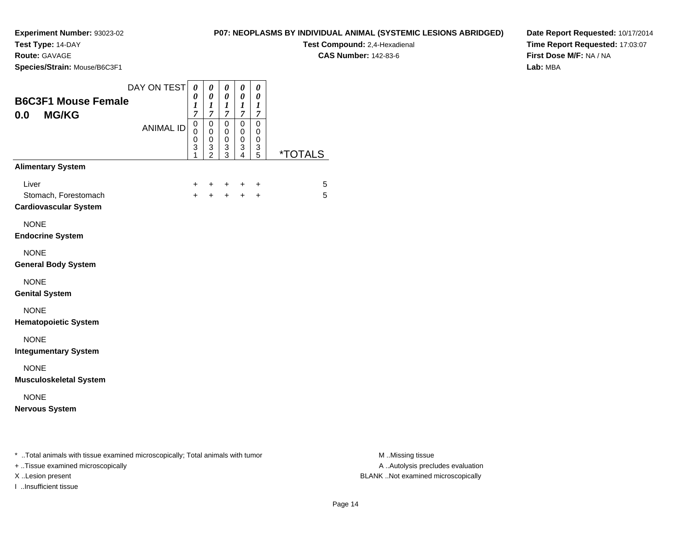**Test Type:** 14-DAY

**Route:** GAVAGE

I ..Insufficient tissue

**Species/Strain:** Mouse/B6C3F1

**Test Compound:** 2,4-Hexadienal

**CAS Number:** 142-83-6

**Date Report Requested:** 10/17/2014**Time Report Requested:** 17:03:07**First Dose M/F:** NA / NA**Lab:** MBA

| <b>B6C3F1 Mouse Female</b><br><b>MG/KG</b><br>0.0                                                                   | DAY ON TEST      | $\theta$<br>0<br>1<br>$\overline{7}$ | 0<br>$\boldsymbol{\theta}$<br>1<br>7 | 0<br>0<br>1<br>$\overline{7}$   | 0<br>0<br>$\bm{l}$<br>$\overline{7}$ | 0<br>0<br>1<br>7                |                       |
|---------------------------------------------------------------------------------------------------------------------|------------------|--------------------------------------|--------------------------------------|---------------------------------|--------------------------------------|---------------------------------|-----------------------|
|                                                                                                                     | <b>ANIMAL ID</b> | $\mathbf 0$<br>0<br>0<br>3<br>1      | 0<br>0<br>0<br>3<br>$\overline{2}$   | $\mathbf 0$<br>0<br>0<br>3<br>3 | 0<br>0<br>0<br>3<br>4                | $\mathbf 0$<br>0<br>0<br>3<br>5 | <i><b>*TOTALS</b></i> |
| <b>Alimentary System</b>                                                                                            |                  |                                      |                                      |                                 |                                      |                                 |                       |
| Liver<br>Stomach, Forestomach<br><b>Cardiovascular System</b>                                                       |                  | +<br>$+$                             | +                                    | +<br>$+$                        | +<br>$+$                             | +<br>$\ddot{}$                  | 5<br>5                |
| <b>NONE</b><br><b>Endocrine System</b>                                                                              |                  |                                      |                                      |                                 |                                      |                                 |                       |
| <b>NONE</b><br><b>General Body System</b>                                                                           |                  |                                      |                                      |                                 |                                      |                                 |                       |
| <b>NONE</b><br><b>Genital System</b>                                                                                |                  |                                      |                                      |                                 |                                      |                                 |                       |
| <b>NONE</b><br><b>Hematopoietic System</b>                                                                          |                  |                                      |                                      |                                 |                                      |                                 |                       |
| <b>NONE</b><br><b>Integumentary System</b>                                                                          |                  |                                      |                                      |                                 |                                      |                                 |                       |
| <b>NONE</b><br><b>Musculoskeletal System</b>                                                                        |                  |                                      |                                      |                                 |                                      |                                 |                       |
| <b>NONE</b><br><b>Nervous System</b>                                                                                |                  |                                      |                                      |                                 |                                      |                                 |                       |
| * Total animals with tissue examined microscopically; Total animals with tumor<br>+ Tissue examined microscopically |                  |                                      |                                      |                                 |                                      |                                 |                       |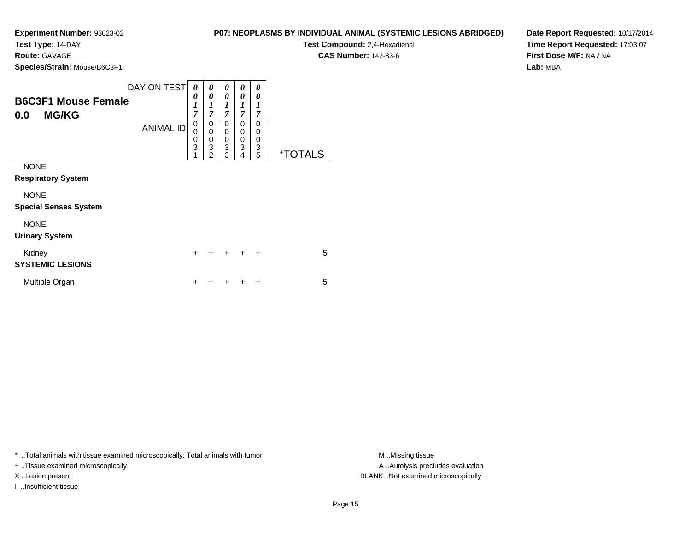**Test Type:** 14-DAY

**Route:** GAVAGE

**Species/Strain:** Mouse/B6C3F1

| P07: NEOPLASMS BY INDIVIDUAL ANIMAL (SYSTEMIC LESIONS ABRIDGED) |
|-----------------------------------------------------------------|
|-----------------------------------------------------------------|

**Test Compound:** 2,4-Hexadienal

**CAS Number:** 142-83-6

**Date Report Requested:** 10/17/2014**Time Report Requested:** 17:03:07**First Dose M/F:** NA / NA**Lab:** MBA

| <b>B6C3F1 Mouse Female</b><br><b>MG/KG</b><br>0.0 | DAY ON TEST<br><b>ANIMAL ID</b> | 0<br>0<br>$\boldsymbol{l}$<br>$\overline{7}$<br>0<br>0<br>$\mathbf 0$<br>$\overline{3}$<br>1 | 0<br>0<br>1<br>$\overline{7}$<br>0<br>$\mathbf 0$<br>$\pmb{0}$<br>$\overline{3}$<br>$\overline{2}$ | 0<br>0<br>$\boldsymbol{l}$<br>$\overline{7}$<br>0<br>0<br>$\pmb{0}$<br>$\overline{3}$<br>3 | 0<br>0<br>1<br>$\overline{7}$<br>0<br>0<br>0<br>3<br>4 | 0<br>0<br>1<br>7<br>$\Omega$<br>0<br>0<br>3<br>5 | <i><b>*TOTALS</b></i> |
|---------------------------------------------------|---------------------------------|----------------------------------------------------------------------------------------------|----------------------------------------------------------------------------------------------------|--------------------------------------------------------------------------------------------|--------------------------------------------------------|--------------------------------------------------|-----------------------|
| <b>NONE</b><br><b>Respiratory System</b>          |                                 |                                                                                              |                                                                                                    |                                                                                            |                                                        |                                                  |                       |
| <b>NONE</b><br><b>Special Senses System</b>       |                                 |                                                                                              |                                                                                                    |                                                                                            |                                                        |                                                  |                       |
| <b>NONE</b><br><b>Urinary System</b>              |                                 |                                                                                              |                                                                                                    |                                                                                            |                                                        |                                                  |                       |
| Kidney<br><b>SYSTEMIC LESIONS</b>                 |                                 | $\ddot{}$                                                                                    |                                                                                                    | $\ddot{}$                                                                                  | $\ddot{}$                                              | $\ddot{}$                                        | 5                     |
| Multiple Organ                                    |                                 | ٠                                                                                            |                                                                                                    |                                                                                            | ٠                                                      | ÷                                                | 5                     |

\* ..Total animals with tissue examined microscopically; Total animals with tumor **M** ..Missing tissue M ..Missing tissue

+ ..Tissue examined microscopically

I ..Insufficient tissue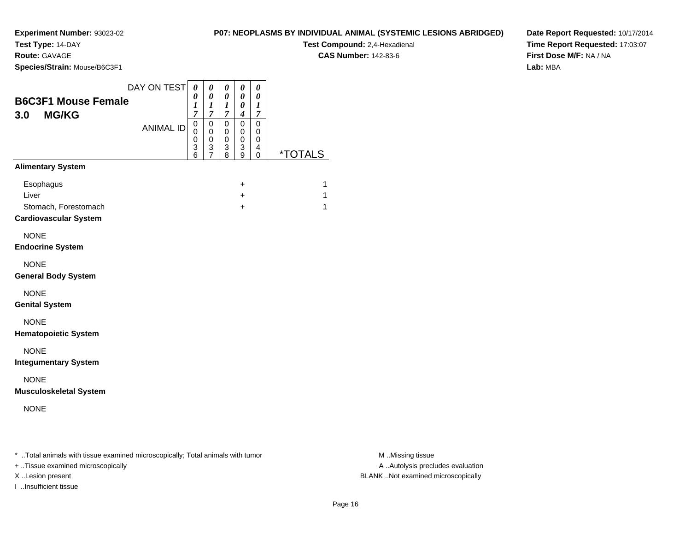**Test Type:** 14-DAY

**Route:** GAVAGE

**Species/Strain:** Mouse/B6C3F1

**Test Compound:** 2,4-Hexadienal **CAS Number:** 142-83-6

**Time Report Requested:** 17:03:07**First Dose M/F:** NA / NA**Lab:** MBA

**Date Report Requested:** 10/17/2014

| <b>B6C3F1 Mouse Female</b><br><b>MG/KG</b><br>3.0                          | DAY ON TEST      | $\boldsymbol{\theta}$<br>0<br>1<br>7 | 0<br>0<br>$\boldsymbol{l}$<br>7              | 0<br>0<br>1<br>7                | 0<br>0<br>0<br>4      | 0<br>0<br>1<br>7      |                       |
|----------------------------------------------------------------------------|------------------|--------------------------------------|----------------------------------------------|---------------------------------|-----------------------|-----------------------|-----------------------|
|                                                                            | <b>ANIMAL ID</b> | 0<br>0<br>0<br>3<br>6                | 0<br>$\mathbf 0$<br>0<br>3<br>$\overline{7}$ | $\mathbf 0$<br>0<br>0<br>3<br>8 | 0<br>0<br>0<br>3<br>9 | 0<br>0<br>0<br>4<br>0 | <i><b>*TOTALS</b></i> |
| <b>Alimentary System</b>                                                   |                  |                                      |                                              |                                 |                       |                       |                       |
| Esophagus<br>Liver<br>Stomach, Forestomach<br><b>Cardiovascular System</b> |                  |                                      |                                              |                                 | $\ddot{}$<br>+<br>+   |                       | 1<br>1<br>1           |
| <b>NONE</b><br><b>Endocrine System</b>                                     |                  |                                      |                                              |                                 |                       |                       |                       |
| <b>NONE</b><br><b>General Body System</b>                                  |                  |                                      |                                              |                                 |                       |                       |                       |
| <b>NONE</b><br><b>Genital System</b>                                       |                  |                                      |                                              |                                 |                       |                       |                       |
| <b>NONE</b><br><b>Hematopoietic System</b>                                 |                  |                                      |                                              |                                 |                       |                       |                       |
| <b>NONE</b><br><b>Integumentary System</b>                                 |                  |                                      |                                              |                                 |                       |                       |                       |
| <b>NONE</b><br><b>Musculoskeletal System</b>                               |                  |                                      |                                              |                                 |                       |                       |                       |
| <b>NONE</b>                                                                |                  |                                      |                                              |                                 |                       |                       |                       |

\* ..Total animals with tissue examined microscopically; Total animals with tumor **M** . Missing tissue M ..Missing tissue

+ ..Tissue examined microscopically

I ..Insufficient tissue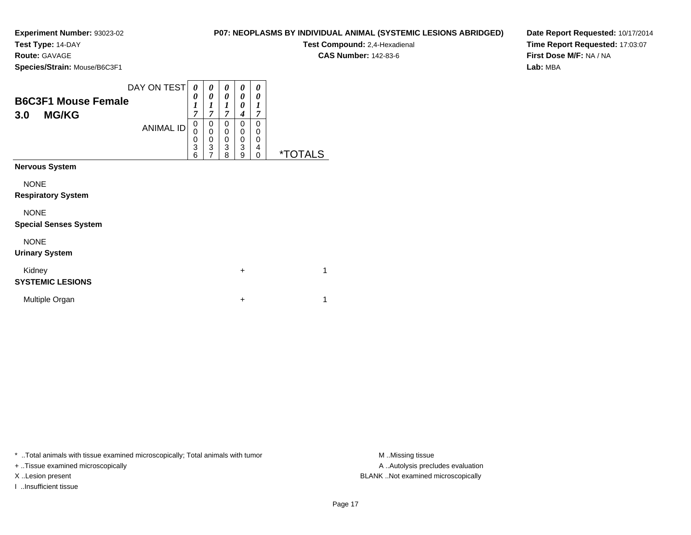**Test Type:** 14-DAY

**Route:** GAVAGE

**Species/Strain:** Mouse/B6C3F1

| P07: NEOPLASMS BY INDIVIDUAL ANIMAL (SYSTEMIC LESIONS ABRIDGED) |
|-----------------------------------------------------------------|
|                                                                 |

**Test Compound:** 2,4-Hexadienal **CAS Number:** 142-83-6

**Date Report Requested:** 10/17/2014**Time Report Requested:** 17:03:07**First Dose M/F:** NA / NA**Lab:** MBA

| <b>B6C3F1 Mouse Female</b><br><b>MG/KG</b><br>3.0 | DAY ON TEST<br><b>ANIMAL ID</b> | 0<br>0<br>$\boldsymbol{l}$<br>$\overline{7}$<br>0<br>0<br>0<br>$\overline{3}$<br>6 | 0<br>0<br>1<br>7<br>0<br>0<br>$\mathbf 0$<br>3<br>$\overline{7}$ | 0<br>0<br>1<br>$\overline{7}$<br>$\Omega$<br>0<br>0<br>3<br>8 | 0<br>0<br>0<br>4<br>0<br>0<br>0<br>3<br>9 | 0<br>0<br>1<br>$\overline{7}$<br>0<br>0<br>0<br>4<br>0 | <i><b>*TOTALS</b></i> |
|---------------------------------------------------|---------------------------------|------------------------------------------------------------------------------------|------------------------------------------------------------------|---------------------------------------------------------------|-------------------------------------------|--------------------------------------------------------|-----------------------|
| <b>Nervous System</b>                             |                                 |                                                                                    |                                                                  |                                                               |                                           |                                                        |                       |
| <b>NONE</b><br><b>Respiratory System</b>          |                                 |                                                                                    |                                                                  |                                                               |                                           |                                                        |                       |
| <b>NONE</b><br><b>Special Senses System</b>       |                                 |                                                                                    |                                                                  |                                                               |                                           |                                                        |                       |
| <b>NONE</b><br><b>Urinary System</b>              |                                 |                                                                                    |                                                                  |                                                               |                                           |                                                        |                       |
| Kidney<br><b>SYSTEMIC LESIONS</b>                 |                                 |                                                                                    |                                                                  |                                                               | $\ddot{}$                                 |                                                        |                       |
| Multiple Organ                                    |                                 |                                                                                    |                                                                  |                                                               | $\ddot{}$                                 |                                                        |                       |

\* ..Total animals with tissue examined microscopically; Total animals with tumor **M** ..Missing tissue M ..Missing tissue

+ ..Tissue examined microscopically

I ..Insufficient tissue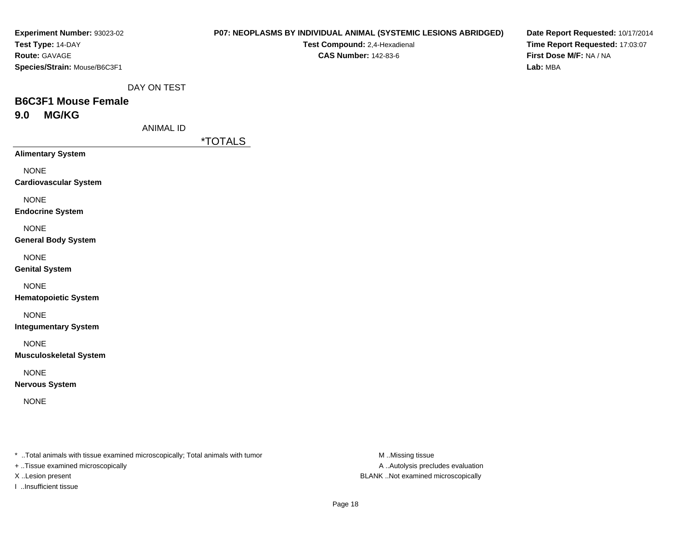| Experiment Number: 93023-02  |
|------------------------------|
| Test Type: 14-DAY            |
| <b>Route:</b> GAVAGE         |
| Species/Strain: Mouse/B6C3F1 |

### **P07: NEOPLASMS BY INDIVIDUAL ANIMAL (SYSTEMIC LESIONS ABRIDGED)**

**Test Compound:** 2,4-Hexadienal **CAS Number:** 142-83-6

**Date Report Requested:** 10/17/2014**Time Report Requested:** 17:03:07**First Dose M/F:** NA / NA**Lab:** MBA

DAY ON TEST

# **B6C3F1 Mouse Female9.0 MG/KG**

ANIMAL ID

\*TOTALS

**Alimentary System**

NONE

**Cardiovascular System**

NONE

**Endocrine System**

NONE

**General Body System**

NONE

**Genital System**

NONE

**Hematopoietic System**

NONE

**Integumentary System**

NONE

**Musculoskeletal System**

NONE

**Nervous System**

NONE

\* ..Total animals with tissue examined microscopically; Total animals with tumor **M** ..Missing tissue M ..Missing tissue

+ ..Tissue examined microscopically

I ..Insufficient tissue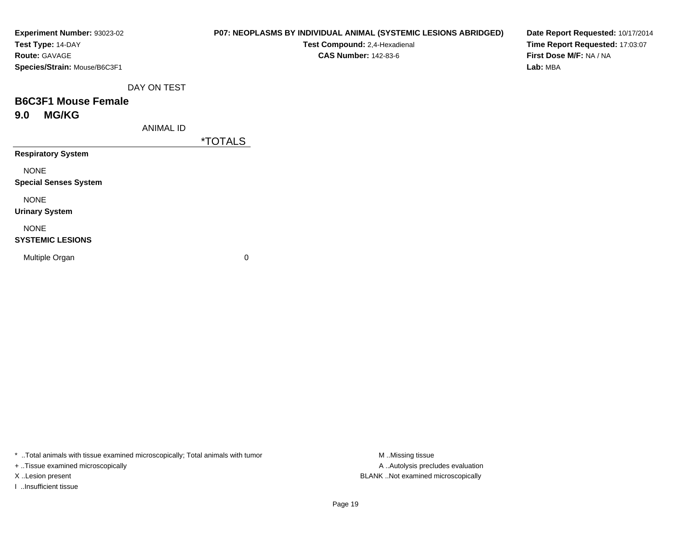| Experiment Number: 93023-02  | P07: NEOPLASMS BY INDIVIDUAL ANIMAL (SYSTEMIC LESIONS ABRIDGED) |
|------------------------------|-----------------------------------------------------------------|
| Test Type: 14-DAY            | Test Compound: 2,4-Hexadienal                                   |
| <b>Route: GAVAGE</b>         | <b>CAS Number: 142-83-6</b>                                     |
| Species/Strain: Mouse/B6C3F1 |                                                                 |
| DAY ON TEST                  |                                                                 |
| <b>B6C3F1 Mouse Female</b>   |                                                                 |
| <b>MG/KG</b><br>9.0          |                                                                 |
| ANIMAL ID                    |                                                                 |
|                              | <i><b>*TOTALS</b></i>                                           |
| <b>Respiratory System</b>    |                                                                 |
| <b>NONE</b>                  |                                                                 |

**Date Report Requested:** 10/17/2014**Time Report Requested:** 17:03:07**First Dose M/F:** NA / NA**Lab:** MBA

NONE

**Special Senses System**

NONE

**Urinary System**

# NONE

### **SYSTEMIC LESIONS**

Multiple Organ

 $\mathbf n$  0

\* ..Total animals with tissue examined microscopically; Total animals with tumor **M** . Missing tissue M ..Missing tissue

+ ..Tissue examined microscopically

I ..Insufficient tissue

A ..Autolysis precludes evaluation X ..Lesion present BLANK ..Not examined microscopically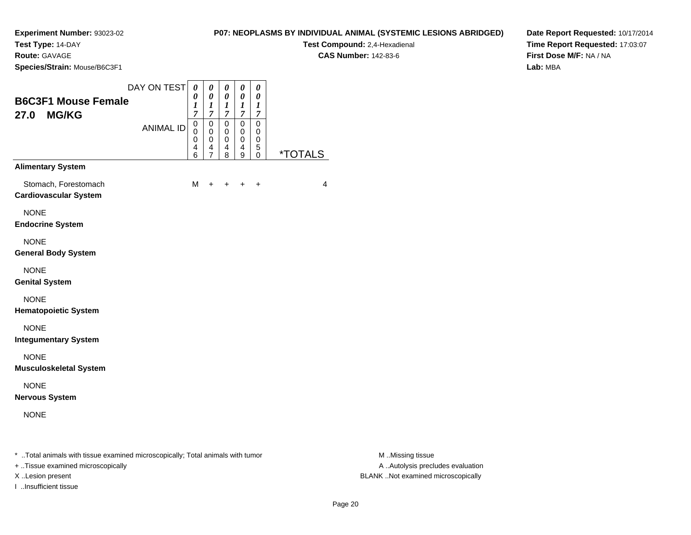**Test Type:** 14-DAY

**Route:** GAVAGE

**Species/Strain:** Mouse/B6C3F1

**Test Compound:** 2,4-Hexadienal **CAS Number:** 142-83-6

**Date Report Requested:** 10/17/2014**Time Report Requested:** 17:03:07**First Dose M/F:** NA / NA**Lab:** MBA

| <b>B6C3F1 Mouse Female</b><br><b>MG/KG</b><br>27.0   | DAY ON TEST<br><b>ANIMAL ID</b> | 0<br>0<br>1<br>$\overline{7}$<br>0<br>0<br>0<br>4 | 0<br>$\pmb{\theta}$<br>$\boldsymbol{l}$<br>$\boldsymbol{7}$<br>0<br>0<br>0<br>4 | 0<br>$\boldsymbol{\theta}$<br>$\boldsymbol{l}$<br>$\boldsymbol{7}$<br>$\mathbf 0$<br>0<br>$\mathbf 0$<br>4 | 0<br>0<br>$\boldsymbol{l}$<br>$\overline{7}$<br>$\mathbf 0$<br>0<br>$\mathbf 0$<br>4 | $\theta$<br>0<br>$\boldsymbol{l}$<br>$\overline{7}$<br>$\Omega$<br>0<br>$\mathbf 0$<br>5 |                       |
|------------------------------------------------------|---------------------------------|---------------------------------------------------|---------------------------------------------------------------------------------|------------------------------------------------------------------------------------------------------------|--------------------------------------------------------------------------------------|------------------------------------------------------------------------------------------|-----------------------|
| <b>Alimentary System</b>                             |                                 | 6                                                 | $\overline{7}$                                                                  | 8                                                                                                          | 9                                                                                    | $\Omega$                                                                                 | <i><b>*TOTALS</b></i> |
| Stomach, Forestomach<br><b>Cardiovascular System</b> |                                 | м                                                 | $\ddot{}$                                                                       | +                                                                                                          |                                                                                      | $\ddot{}$                                                                                | 4                     |
| <b>NONE</b><br><b>Endocrine System</b>               |                                 |                                                   |                                                                                 |                                                                                                            |                                                                                      |                                                                                          |                       |
| <b>NONE</b><br><b>General Body System</b>            |                                 |                                                   |                                                                                 |                                                                                                            |                                                                                      |                                                                                          |                       |
| <b>NONE</b><br><b>Genital System</b>                 |                                 |                                                   |                                                                                 |                                                                                                            |                                                                                      |                                                                                          |                       |
| <b>NONE</b><br><b>Hematopoietic System</b>           |                                 |                                                   |                                                                                 |                                                                                                            |                                                                                      |                                                                                          |                       |
| <b>NONE</b><br><b>Integumentary System</b>           |                                 |                                                   |                                                                                 |                                                                                                            |                                                                                      |                                                                                          |                       |
| <b>NONE</b><br><b>Musculoskeletal System</b>         |                                 |                                                   |                                                                                 |                                                                                                            |                                                                                      |                                                                                          |                       |
| <b>NONE</b><br><b>Nervous System</b>                 |                                 |                                                   |                                                                                 |                                                                                                            |                                                                                      |                                                                                          |                       |
| <b>NONE</b>                                          |                                 |                                                   |                                                                                 |                                                                                                            |                                                                                      |                                                                                          |                       |
|                                                      |                                 |                                                   |                                                                                 |                                                                                                            |                                                                                      |                                                                                          |                       |

\* ..Total animals with tissue examined microscopically; Total animals with tumor **M** . Missing tissue M ..Missing tissue

+ ..Tissue examined microscopically

I ..Insufficient tissue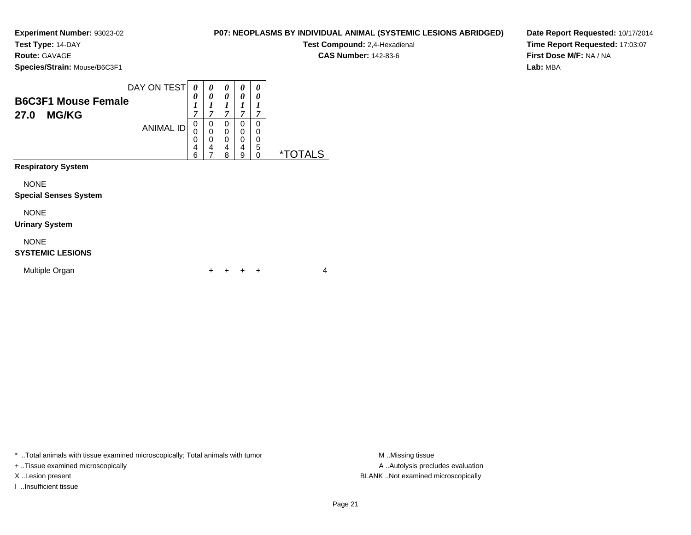**Test Type:** 14-DAY

**Route:** GAVAGE

**Species/Strain:** Mouse/B6C3F1

| DAY ON TEST<br><b>B6C3F1 Mouse Female</b><br><b>MG/KG</b><br>27.0<br><b>ANIMAL ID</b> | 0<br>0<br>1<br>$\overline{7}$<br>0<br>0<br>0<br>4<br>6 | 0<br>0<br>7<br>0<br>0<br>0<br>4 | 0<br>0<br>1<br>7<br>0<br>0<br>0<br>4<br>8 | 0<br>0<br>⇁<br>O<br>0<br>0<br>4<br>9 | 0<br>$\boldsymbol{\theta}$<br>1<br>7<br>0<br>0<br>0<br>5<br>0 | ∗٦<br>AL S |
|---------------------------------------------------------------------------------------|--------------------------------------------------------|---------------------------------|-------------------------------------------|--------------------------------------|---------------------------------------------------------------|------------|
| <b>Respiratory System</b>                                                             |                                                        |                                 |                                           |                                      |                                                               |            |

NONE

#### **Special Senses System**

NONE

**Urinary System**

### NONE

### **SYSTEMIC LESIONS**

| Multiple Organ |  | + + + + |  |  |  |  |
|----------------|--|---------|--|--|--|--|
|----------------|--|---------|--|--|--|--|

\* ..Total animals with tissue examined microscopically; Total animals with tumor **M** . Missing tissue M ..Missing tissue

+ ..Tissue examined microscopically

I ..Insufficient tissue

**P07: NEOPLASMS BY INDIVIDUAL ANIMAL (SYSTEMIC LESIONS ABRIDGED)**

**Test Compound:** 2,4-Hexadienal

**CAS Number:** 142-83-6

**Date Report Requested:** 10/17/2014**Time Report Requested:** 17:03:07**First Dose M/F:** NA / NA**Lab:** MBA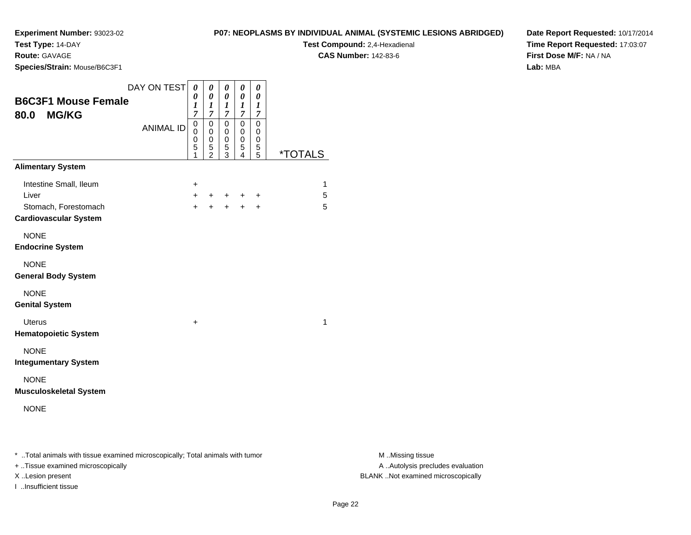**Test Type:** 14-DAY

**Route:** GAVAGE

**Species/Strain:** Mouse/B6C3F1

**Test Compound:** 2,4-Hexadienal **CAS Number:** 142-83-6

**Date Report Requested:** 10/17/2014**Time Report Requested:** 17:03:07**First Dose M/F:** NA / NA**Lab:** MBA

| <b>B6C3F1 Mouse Female</b><br><b>MG/KG</b><br>80.0                                      | DAY ON TEST      | $\boldsymbol{\theta}$<br>0<br>1<br>$\overline{7}$ | 0<br>0<br>$\boldsymbol{l}$<br>$\overline{7}$ | 0<br>$\boldsymbol{\theta}$<br>$\boldsymbol{l}$<br>$\overline{7}$ | 0<br>0<br>1<br>$\overline{7}$   | 0<br>0<br>$\boldsymbol{l}$<br>7 |                       |
|-----------------------------------------------------------------------------------------|------------------|---------------------------------------------------|----------------------------------------------|------------------------------------------------------------------|---------------------------------|---------------------------------|-----------------------|
|                                                                                         | <b>ANIMAL ID</b> | 0<br>$\mathbf{0}$<br>0<br>5<br>1                  | $\mathsf 0$<br>0<br>0<br>5<br>$\overline{2}$ | $\Omega$<br>0<br>0<br>5<br>3                                     | $\mathbf 0$<br>0<br>0<br>5<br>4 | $\mathbf 0$<br>0<br>0<br>5<br>5 | <i><b>*TOTALS</b></i> |
| <b>Alimentary System</b>                                                                |                  |                                                   |                                              |                                                                  |                                 |                                 |                       |
| Intestine Small, Ileum<br>Liver<br>Stomach, Forestomach<br><b>Cardiovascular System</b> |                  | +<br>$\ddot{}$<br>$+$                             | $+$<br>$+$                                   | $+$ $-$                                                          | $\ddot{}$<br>$+ + +$            | ÷                               | 1<br>5<br>5           |
| <b>NONE</b><br><b>Endocrine System</b>                                                  |                  |                                                   |                                              |                                                                  |                                 |                                 |                       |
| <b>NONE</b><br><b>General Body System</b>                                               |                  |                                                   |                                              |                                                                  |                                 |                                 |                       |
| <b>NONE</b><br><b>Genital System</b>                                                    |                  |                                                   |                                              |                                                                  |                                 |                                 |                       |
| <b>Uterus</b><br><b>Hematopoietic System</b>                                            |                  | +                                                 |                                              |                                                                  |                                 |                                 | 1                     |
| <b>NONE</b><br><b>Integumentary System</b>                                              |                  |                                                   |                                              |                                                                  |                                 |                                 |                       |
| <b>NONE</b><br><b>Musculoskeletal System</b>                                            |                  |                                                   |                                              |                                                                  |                                 |                                 |                       |
| <b>NONE</b>                                                                             |                  |                                                   |                                              |                                                                  |                                 |                                 |                       |
|                                                                                         |                  |                                                   |                                              |                                                                  |                                 |                                 |                       |

\* ..Total animals with tissue examined microscopically; Total animals with tumor **M** . Missing tissue M ..Missing tissue

+ ..Tissue examined microscopically

I ..Insufficient tissue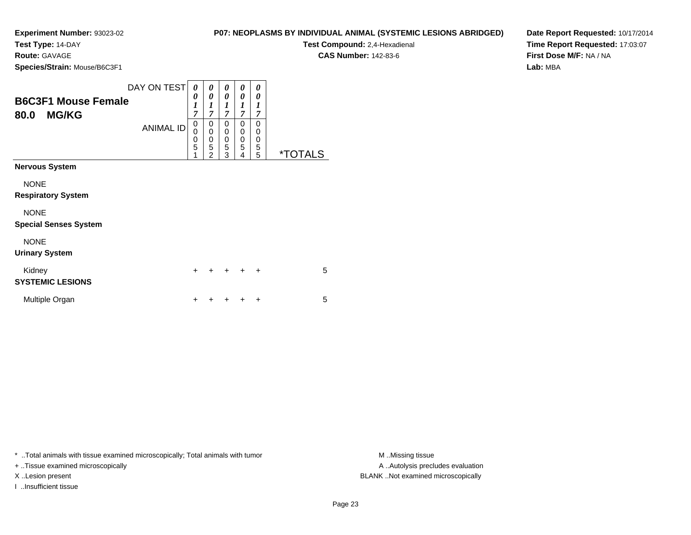**Test Type:** 14-DAY

**Route:** GAVAGE

**Species/Strain:** Mouse/B6C3F1

| P07: NEOPLASMS BY INDIVIDUAL ANIMAL (SYSTEMIC LESIONS ABRIDGED) |
|-----------------------------------------------------------------|
|-----------------------------------------------------------------|

**Test Compound:** 2,4-Hexadienal

**CAS Number:** 142-83-6

**Date Report Requested:** 10/17/2014**Time Report Requested:** 17:03:07**First Dose M/F:** NA / NA**Lab:** MBA

|                                                    | DAY ON TEST      | 0                        | 0                                                      | 0                        | 0                        | 0                     |                       |
|----------------------------------------------------|------------------|--------------------------|--------------------------------------------------------|--------------------------|--------------------------|-----------------------|-----------------------|
| <b>B6C3F1 Mouse Female</b><br><b>MG/KG</b><br>80.0 |                  | 0<br>1<br>$\overline{7}$ | 0<br>1<br>$\overline{7}$                               | 0<br>1<br>$\overline{7}$ | 0<br>1<br>$\overline{7}$ | 0<br>1<br>7           |                       |
|                                                    | <b>ANIMAL ID</b> | 0<br>0<br>0<br>5<br>1    | 0<br>$\mathbf 0$<br>$\mathbf 0$<br>5<br>$\overline{2}$ | 0<br>0<br>0<br>5<br>3    | 0<br>0<br>0<br>5<br>4    | 0<br>0<br>0<br>5<br>5 | <i><b>*TOTALS</b></i> |
| <b>Nervous System</b>                              |                  |                          |                                                        |                          |                          |                       |                       |
| <b>NONE</b><br><b>Respiratory System</b>           |                  |                          |                                                        |                          |                          |                       |                       |
| <b>NONE</b><br><b>Special Senses System</b>        |                  |                          |                                                        |                          |                          |                       |                       |
| <b>NONE</b><br><b>Urinary System</b>               |                  |                          |                                                        |                          |                          |                       |                       |
| Kidney<br><b>SYSTEMIC LESIONS</b>                  |                  | $\div$                   | $\div$                                                 | $\ddot{}$                | $\div$                   | $\ddot{}$             | 5                     |
| Multiple Organ                                     |                  |                          |                                                        |                          |                          | +                     | 5                     |

\* ..Total animals with tissue examined microscopically; Total animals with tumor **M** ..Missing tissue M ..Missing tissue

+ ..Tissue examined microscopically

I ..Insufficient tissue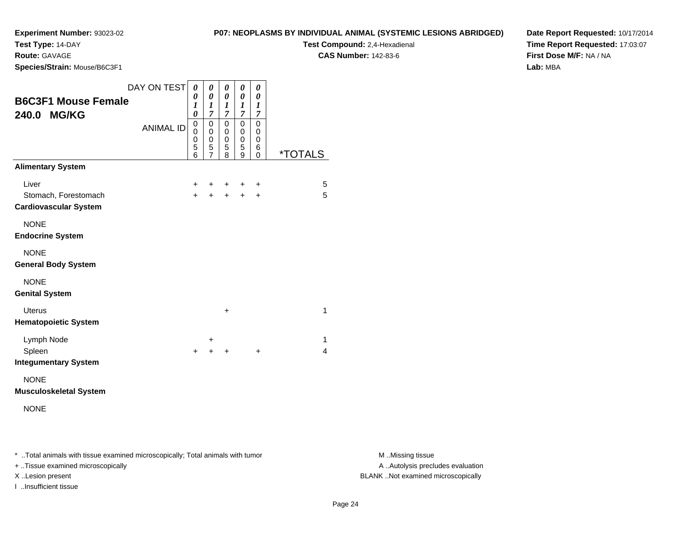**Test Type:** 14-DAY

**Route:** GAVAGE

**Species/Strain:** Mouse/B6C3F1

**Test Compound:** 2,4-Hexadienal **CAS Number:** 142-83-6

**Date Report Requested:** 10/17/2014**Time Report Requested:** 17:03:07**First Dose M/F:** NA / NA**Lab:** MBA

| <b>B6C3F1 Mouse Female</b><br>240.0 MG/KG                                                 | DAY ON TEST<br><b>ANIMAL ID</b> | 0<br>0<br>$\boldsymbol{l}$<br>0<br>0<br>0<br>0<br>5<br>6 | 0<br>0<br>$\boldsymbol{l}$<br>$\overline{7}$<br>$\mathbf 0$<br>0<br>0<br>5<br>$\overline{7}$ | 0<br>0<br>1<br>$\overline{7}$<br>0<br>0<br>0<br>5<br>8 | 0<br>0<br>1<br>7<br>0<br>0<br>0<br>5<br>9 | 0<br>0<br>1<br>7<br>$\mathbf 0$<br>0<br>0<br>6<br>$\mathbf 0$ | <i><b>*TOTALS</b></i> |
|-------------------------------------------------------------------------------------------|---------------------------------|----------------------------------------------------------|----------------------------------------------------------------------------------------------|--------------------------------------------------------|-------------------------------------------|---------------------------------------------------------------|-----------------------|
| <b>Alimentary System</b><br>Liver<br>Stomach, Forestomach<br><b>Cardiovascular System</b> |                                 | $\ddot{}$<br>$\ddot{}$                                   | +<br>$\ddot{}$                                                                               | ٠<br>$\ddot{}$                                         | ÷<br>$\ddot{+}$                           | +<br>$\ddot{}$                                                | 5<br>5                |
| <b>NONE</b><br><b>Endocrine System</b>                                                    |                                 |                                                          |                                                                                              |                                                        |                                           |                                                               |                       |
| <b>NONE</b><br><b>General Body System</b>                                                 |                                 |                                                          |                                                                                              |                                                        |                                           |                                                               |                       |
| <b>NONE</b><br><b>Genital System</b>                                                      |                                 |                                                          |                                                                                              |                                                        |                                           |                                                               |                       |
| <b>Uterus</b><br><b>Hematopoietic System</b>                                              |                                 |                                                          |                                                                                              | $\ddot{}$                                              |                                           |                                                               | $\mathbf 1$           |
| Lymph Node<br>Spleen<br><b>Integumentary System</b>                                       |                                 | $\ddot{}$                                                | ÷<br>+                                                                                       | +                                                      |                                           | $\ddot{}$                                                     | 1<br>$\overline{4}$   |
| <b>NONE</b>                                                                               |                                 |                                                          |                                                                                              |                                                        |                                           |                                                               |                       |

**Musculoskeletal System**

\* ..Total animals with tissue examined microscopically; Total animals with tumor **M** . Missing tissue M ..Missing tissue

+ ..Tissue examined microscopically

I ..Insufficient tissue

NONE